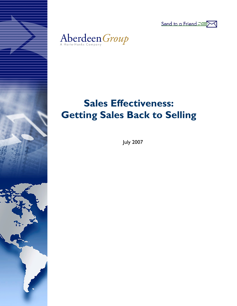



# **Sales Effectiveness: Getting Sales Back to Selling**

July 2007

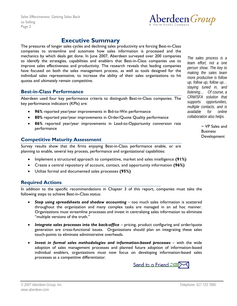

# **Executive Summary**

<span id="page-1-0"></span>The pressures of longer sales cycles and declining sales productivity are forcing Best-in-Class companies to streamline and automate how sales information is processed and the mechanics by which deals get done. In June 2007, Aberdeen surveyed over 200 companies to identify the strategies, capabilities and enablers that Best-in-Class companies use to improve sales effectiveness and productivity. The research reveals that leading companies have focused on both the sales management process, as well as tools designed for the individual sales representative, to increase the ability of their sales organizations to hit quotas and ultimately remain competitive.

### **Best-in-Class Performance**

Aberdeen used four key performance criteria to distinguish Best-in-Class companies. The key performance indicators (KPIs) are:

- **96%** reported year/year improvements in Bid-to-Win performance
- **80%** reported year/year improvements in Order/Quote Quality performance
- **86%** reported year/year improvements in Lead-to-Opportunity conversion rate performance

## **Competitive Maturity Assessment**

Survey results show that the firms enjoying Best-in-Class performance enable, or are planning to enable, several key process, performance and organizational capabilities:

- Implement a structured approach to competitive, market and sales intelligence **(91%)**
- Create a central repository of account, contact, and opportunity information **(96%)**
- Utilize formal and documented sales processes **(95%)**

# **Required Actions**

In addition to the specific recommendations in Chapter 3 of this report, companies must take the following steps to achieve Best-in-Class status:

- **Stop using spreadsheets and shadow accounting** too much sales information is scattered throughout the organization and many complex tasks are managed in an ad hoc manner. Organizations must streamline processes and invest in centralizing sales information to eliminate "multiple versions of the truth."
- *Integrate sales processes into the back-office* pricing, product configuring and order/quote generation are cross-functional issues. Organizations should plan on integrating these sales touch-points to eliminate administrative overheads.
- **Invest in formal sales methodologies and information-based processes –** with the wide adoption of sales management processes and planned future adoption of information-based individual enablers, organizations must now focus on developing information-based sales processes as a competitive differentiator.



*The sales process is a team effort, not a one person show. The key to making the sales team more productive is follow up, follow up, follow up… staying tuned in, and listening… Of course, a CRM/SFA solution that supports opportunities, multiple contacts, and is available for online collaboration also helps.* 

> ~ VP Sales and **Business** Development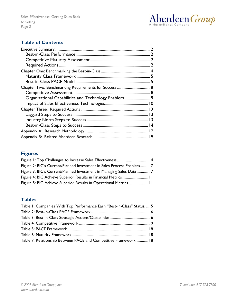

# **Table of Contents**

| Organizational Capabilities and Technology Enablers  9 |  |
|--------------------------------------------------------|--|
|                                                        |  |
|                                                        |  |
|                                                        |  |
|                                                        |  |
|                                                        |  |
|                                                        |  |
|                                                        |  |

# **Figures**

| Figure 2: BIC's Current/Planned Investment in Sales Process Enablers7 |
|-----------------------------------------------------------------------|
| Figure 3: BIC's Current/Planned Investment in Managing Sales Data7    |
|                                                                       |
|                                                                       |

## **Tables**

| Table 1: Companies With Top Performance Earn "Best-in-Class" Status: 5 |
|------------------------------------------------------------------------|
|                                                                        |
|                                                                        |
|                                                                        |
|                                                                        |
|                                                                        |
| Table 7: Relationship Between PACE and Competitive Framework 18        |
|                                                                        |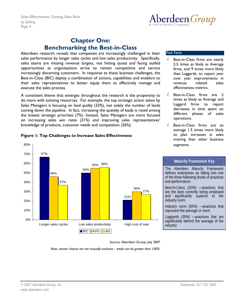

# **Chapter One: Benchmarking the Best-in-Class**

<span id="page-3-0"></span>Aberdeen research reveals that companies are increasingly challenged in their sales performance by longer sales cycles and low sales productivity. Specifically, sales teams are missing revenue targets, not hitting quota and facing stalled opportunities as organizations strive to remain competitive and service increasingly discerning customers. In response to these business challenges, the Best-in-Class (BIC) deploy a combination of actions, capabilities and enablers to their sales representatives to better equip them to effectively manage and execute the sales process.

A consistent theme that emerges throughout the research is the propensity to do more with existing resources. For example, the top strategic action taken by Sales Managers is focusing on lead *quality* (33%), not solely the number of leads coming down the pipeline. In fact, increasing the *quantity* of leads is rated among the lowest strategic priorities (7%). Instead, Sales Managers are more focused on increasing sales win rates (31%) and improving sales representatives' knowledge of products, customer needs and competition (26%).

#### Fast Facts

- Best-in-Class firms are nearly 2.5 times as likely as Average firms, and 9 times more likely than Laggards, to report year over year improvements in revenue related sales effectiveness metrics.
- $\sqrt{ }$  Best-in-Class firms are 2 times as likely as Average and Laggard firms to report decreases in time spent on different phases of sales operations.
- $\sqrt{ }$  Best-in-Class firms are an average 1.5 times more likely to plan increases in sales training than other business segments.



## **Figure 1: Top Challenges to Increase Sales Effectiveness**

### **Maturity Framework Key**

The Aberdeen Maturity Framework defines enterprises as falling into one of the three following levels of practices and performance:

*Best-in-Class (20%)* —practices that are the best currently being employed and significantly superior to the industry norm

*Industry norm (50%)* —practices that represent the average or norm

*Laggards (30%) —*practices that are significantly behind the average of the industry

Source: Aberdeen Group, July 2007

*Note: answer choices are not mutually exclusive – totals can be greater than 100%.*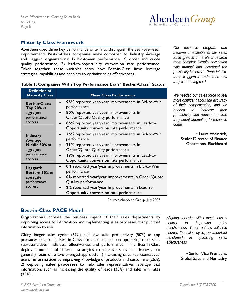

# <span id="page-4-0"></span>**Maturity Class Framework**

Aberdeen used three key performance criteria to distinguish the year-over-year improvements Best-in-Class companies make compared to Industry Average and Laggard organizations: 1) bid-to-win performance, 2) order and quote quality performance, 3) lead-to-opportunity conversion rate performance. Taken together, these variables show how Best-in-Class firms leverage strategies, capabilities and enablers to optimize sales effectiveness.

|  |  |  | Table 1: Companies With Top Performance Earn "Best-in-Class" Status: |  |
|--|--|--|----------------------------------------------------------------------|--|
|  |  |  |                                                                      |  |

| <b>Definition of</b><br><b>Maturity Class</b> | <b>Mean Class Performance</b>                                                              |  |  |  |  |
|-----------------------------------------------|--------------------------------------------------------------------------------------------|--|--|--|--|
| <b>Best-in-Class:</b>                         | 96% reported year/year improvements in Bid-to-Win                                          |  |  |  |  |
| <b>Top 20% of</b>                             | performance                                                                                |  |  |  |  |
| aggregate                                     | 80% reported year/year improvements in                                                     |  |  |  |  |
| performance                                   | Order/Quote Quality performance                                                            |  |  |  |  |
| scorers                                       | 86% reported year/year improvements in Lead-to-<br>Opportunity conversion rate performance |  |  |  |  |
| <b>Industry</b><br><u>Average:</u>            | 26% reported year/year improvements in Bid-to-Win<br>$\bullet$<br>performance              |  |  |  |  |
| Middle 50% of                                 | 21% reported year/year improvements in                                                     |  |  |  |  |
| aggregate                                     | Order/Quote Quality performance                                                            |  |  |  |  |
| performance                                   | 19% reported year/year improvements in Lead-to-                                            |  |  |  |  |
| scorers                                       | Opportunity conversion rate performance                                                    |  |  |  |  |
| Laggard:<br>Bottom 30% of                     | 0% reported year/year improvements in Bid-to-Win<br>$\bullet$<br>performance               |  |  |  |  |
| aggregate                                     | 0% reported year/year improvements in Order/Quote                                          |  |  |  |  |
| performance                                   | Quality performance                                                                        |  |  |  |  |
| scorers                                       | 2% reported year/year improvements in Lead-to-<br>Opportunity conversion rate performance  |  |  |  |  |

*Our incentive program had become un-scalable as our sales force grew and the plans became more complex. Results calculation was manual and increased the possibility for errors. Reps felt like they struggled to understand how they were being paid.* 

*We needed our sales force to feel more confident about the accuracy of their compensation, and we needed to increase their productivity and reduce the time they spent attempting to reconcile comp.* 

> ~ Laura Weinrieb, Senior Director of Finance Operations, Blackboard

Source: Aberdeen Group, July 2007

# **Best-in-Class PACE Model**

Organizations increase the business impact of their sales departments by improving access to information and implementing sales processes that put that information to use.

Citing longer sales cycles (67%) and low sales productivity (50%) as top pressures (Figure 1), Best-in-Class firms are focused on optimizing their sales representatives' individual effectiveness and performance. The Best-in-Class deploy a number of different strategies to improve sales effectiveness, but generally focus on a two-pronged approach: 1) increasing sales representatives' use of **information** by improving knowledge of products and customers (26%), 2) deploying **sales processes** to help sales representatives leverage that information, such as increasing the quality of leads (33%) and sales win rates (30%).

*Aligning behavior with expectations is central to improving sales effectiveness. These actions will help shorten the sales cycle, an important benchmark in optimizing sales effectiveness.* 

> ~ Senior Vice President, Global Sales and Marketing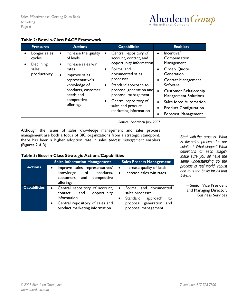

<span id="page-5-0"></span>

|  |  | <b>Table 2: Best-in-Class PACE Framework</b> |
|--|--|----------------------------------------------|
|--|--|----------------------------------------------|

| <b>Pressures</b>                                                          | <b>Actions</b>                                                                                                                                                                                   | <b>Capabilities</b>                                                                                                                                                                                                                                                                                              | <b>Enablers</b>                                                                                                                                                                                                                                                                           |
|---------------------------------------------------------------------------|--------------------------------------------------------------------------------------------------------------------------------------------------------------------------------------------------|------------------------------------------------------------------------------------------------------------------------------------------------------------------------------------------------------------------------------------------------------------------------------------------------------------------|-------------------------------------------------------------------------------------------------------------------------------------------------------------------------------------------------------------------------------------------------------------------------------------------|
| Longer sales<br>cycles<br>Declining<br>$\bullet$<br>sales<br>productivity | Increase the quality<br>$\bullet$<br>of leads<br>Increase sales win<br>rates<br>Improve sales<br>representative's<br>knowledge of<br>products, customer<br>needs and<br>competitive<br>offerings | Central repository of<br>account, contact, and<br>opportunity information<br>Formal and<br>$\bullet$<br>documented sales<br>processes<br>Standard approach to<br>$\bullet$<br>proposal generation and<br>proposal management<br>Central repository of<br>$\bullet$<br>sales and product<br>marketing information | Incentive/<br>Compensation<br>Management<br>Order/ Quote<br>Generation<br><b>Contact Management</b><br>Software<br>Customer Relationship<br>$\bullet$<br><b>Management Solutions</b><br>Sales force Automation<br>$\bullet$<br><b>Product Configuration</b><br><b>Forecast Management</b> |

Source: Aberdeen July, 2007

Although the issues of sales knowledge management and sales process management are both a focus of BIC organizations from a strategic standpoint, there has been a higher adoption rate in sales *process management* enablers (Figures 2 & 3).

*Start with the process. What is the sales process for our solution? What stages? What definitions of each stage? Make sure you all have the same understanding so the process is real world, robust and thus the basis for all that follows.* 

> ~ Senior Vice President and Managing Director, Business Services

| Table 3: Best-in-Class Strategic Actions/Capabilities |
|-------------------------------------------------------|
|-------------------------------------------------------|

|                     | <b>Sales Information Management</b>                                                                                                                                           | <b>Sales Process Management</b>                                                                                                                    |  |  |
|---------------------|-------------------------------------------------------------------------------------------------------------------------------------------------------------------------------|----------------------------------------------------------------------------------------------------------------------------------------------------|--|--|
| <b>Actions</b>      | Improve sales representatives'<br>$\bullet$<br>knowledge of<br>products,<br>competitive<br>customers and<br>offerings                                                         | Increase quality of leads<br>$\bullet$<br>Increase sales win rates<br>$\bullet$                                                                    |  |  |
| <b>Capabilities</b> | Central repository of account,<br>$\bullet$<br>and<br>opportunity<br>contact,<br>information<br>Central repository of sales and<br>$\bullet$<br>product marketing information | Formal and documented<br>$\bullet$<br>sales processes<br>Standard<br>approach<br>to<br>$\bullet$<br>proposal generation and<br>proposal management |  |  |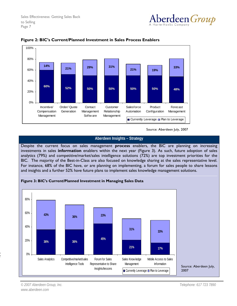



#### <span id="page-6-0"></span>**Figure 2: BIC's Current/Planned Investment in Sales Process Enablers**

Source: Aberdeen July, 2007

### **Aberdeen Insights – Strategy**

Despite the current focus on sales management **process** enablers, the BIC are planning on increasing investments in sales **information** enablers within the next year (Figure 3). As such, future adoption of sales analytics (79%) and competitive/market/sales intelligence solutions (72%) are top investment priorities for the BIC. The majority of the Best-in-Class are also focused on knowledge sharing at the sales representative level. For instance, 68% of the BIC have, or are planning on implementing, a forum for sales people to share lessons and insights and a further 52% have future plans to implement sales knowledge management solutions.



**Figure 3: BIC's Current/Planned Investment in Managing Sales Data** 

, r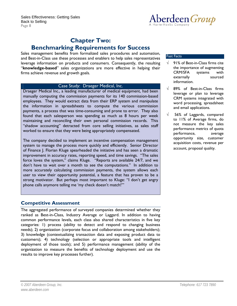

# **Chapter Two:**

# <span id="page-7-0"></span>**Benchmarking Requirements for Success**

Sales management benefits from formalized sales procedures and automation, and Best-in-Class use these processes and enablers to help sales representatives leverage information on products and consumers. Consequently, the resulting "**knowledge-based**" sales organizations are more effective in helping their firms achieve revenue and growth goals.

#### Case Study: Draeger Medical, Inc.

Draeger Medical Inc., a leading manufacturer of medical equipment, had been manually computing the commission payments for its 140 commission-based employees. They would extract data from their ERP system and manipulate the information in spreadsheets to compute the various commission payments, a process that was time-consuming and prone to error. They also found that each salesperson was spending as much as 8 hours per week maintaining and reconciling their own personal commission records. This "shadow accounting" detracted from core selling initiatives, as sales staff worked to ensure that they were being appropriately compensated.

The company decided to implement an incentive compensation management system to manage the process more quickly and efficiently. Senior Director of Finance J. Florian Kluge spearheaded the initiative and has seen a dramatic improvement in accuracy rates, reporting speed, and time savings. "The sales force loves the system," claims Kluge. "Reports are available 24/7, and we don't have to wait over a month to see the computations." In addition to more accurately calculating commission payments, the system allows each user to view their opportunity potential, a feature that has proven to be a strong motivator. But perhaps most important to Kluge: "I don't get angry phone calls anymore telling me 'my check doesn't match!'"

## **Competitive Assessment**

The aggregated performance of surveyed companies determined whether they ranked as Best-in-Class, Industry Average or Laggard. In addition to having common performance levels, each class also shared characteristics in five key categories: 1) process (ability to detect and respond to changing business needs); 2) organization (corporate focus and collaboration among stakeholders); 3) knowledge (contextualizing transaction data and exposing product data to customers); 4) technology (selection or appropriate tools and intelligent deployment of those tools); and 5) performance management (ability of the organization to measure the benefits of technology deployment and use the results to improve key processes further).

#### Fast Facts

- $\sqrt{ }$  91% of Best-in-Class firms cite the importance of augmenting CRM/SFA systems with externally sourced information.
- $\sqrt{ }$  89% of Best-in-Class firms leverage or plan to leverage CRM systems integrated with word processing, spreadsheet and email applications.
- $\sqrt{ }$  56% of Laggards, compared to 11% of Average firms, do not measure the key sales performance metrics of quota performance, average opportunity size, customer acquisition costs, revenue per account, proposal quality.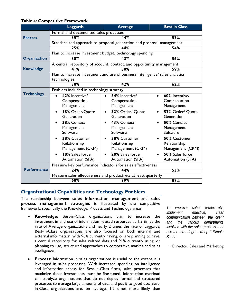|                     | <b>Laggards</b>                                                               | <b>Average</b>                 | <b>Best-in-Class</b>           |  |  |  |
|---------------------|-------------------------------------------------------------------------------|--------------------------------|--------------------------------|--|--|--|
|                     | Formal and documented sales processes                                         |                                |                                |  |  |  |
| <b>Process</b>      | 35%                                                                           | 44%                            | 57%                            |  |  |  |
|                     | Standardized approach to proposal generation and proposal management          |                                |                                |  |  |  |
|                     | 25%                                                                           | 44%                            | 54%                            |  |  |  |
|                     | Plan to increase investment budget, technology spending                       |                                |                                |  |  |  |
| <b>Organization</b> | 38%                                                                           | 42%                            | 56%                            |  |  |  |
|                     | A central repository of account, contact, and opportunity management          |                                |                                |  |  |  |
| <b>Knowledge</b>    | 41%                                                                           | 50%                            | 59%                            |  |  |  |
|                     | Plan to increase investment and use of business intelligence/ sales analytics |                                |                                |  |  |  |
|                     | technologies                                                                  |                                |                                |  |  |  |
|                     | 30%                                                                           | 42%                            | 62%                            |  |  |  |
| <b>Technology</b>   | Enablers included in technology strategy:                                     |                                |                                |  |  |  |
|                     | 42% Incentive/                                                                | 54% Incentive/<br>$\bullet$    | 60% Incentive/<br>$\bullet$    |  |  |  |
|                     | Compensation<br>Management                                                    | Compensation<br>Management     | Compensation<br>Management     |  |  |  |
|                     |                                                                               |                                |                                |  |  |  |
|                     | 18% Order/Quote<br>Generation                                                 | 32% Order/ Quote<br>Generation | 52% Order/ Quote<br>Generation |  |  |  |
|                     | 38% Contact                                                                   | 43% Contact                    | 50% Contact                    |  |  |  |
|                     | Management                                                                    | Management                     | Management                     |  |  |  |
|                     | Software                                                                      | Software                       | Software                       |  |  |  |
|                     | 38% Customer                                                                  | 38% Customer<br>$\bullet$      | 50% Customer                   |  |  |  |
|                     | Relationship                                                                  | Relationship                   | Relationship                   |  |  |  |
|                     | Management (CRM)                                                              | Management (CRM)               | Management (CRM)               |  |  |  |
|                     | 18% Sales force                                                               | 20% Sales force                | 50% Sales force                |  |  |  |
|                     | Automation (SFA)                                                              | Automation (SFA)               | Automation (SFA)               |  |  |  |
|                     | Measure key performance indicators for sales effectiveness                    |                                |                                |  |  |  |
| <b>Performance</b>  | 24%                                                                           | 44%                            | 53%                            |  |  |  |
|                     | Measure sales effectiveness and productivity at least quarterly               |                                |                                |  |  |  |
|                     | 60%                                                                           | 79%                            | 87%                            |  |  |  |

#### <span id="page-8-0"></span>**Table 4: Competitive Framework**

# **Organizational Capabilities and Technology Enablers**

The relationship between **sales information management** and **sales process management strategies** is illustrated by the competitive framework, specifically the Knowledge, Process and Technology areas.

- **Knowledge:** Best-in-Class organizations plan to increase the investment in and use of information related resources at 1.3 times the rate of Average organizations and nearly 2 times the rate of Laggards. Best-in-Class organizations are also focused on both internal and external information, with 96% currently having, or are planning to have, a central repository for sales related data and 91% currently using, or planning to use, structured approaches to competitive market and sales intelligence.
- **Process:** Information in sales organizations is useful to the extent it is leveraged in sales processes. With increased spending on intelligence and information access for Best-in-Class firms, sales processes that maximize those investments must be fine-tuned. Information overload can paralyze organizations that do not deploy formal and structured processes to manage large amounts of data and put it to good use. Bestin-Class organizations are, on average, 1.2 times more likely than

*To improve sales productivity, implement effective, clear communication between the client and the various departments involved with the sales process – or use the old adage… Keep It Simple Simon!* 

 $\sim$  Director, Sales and Marketing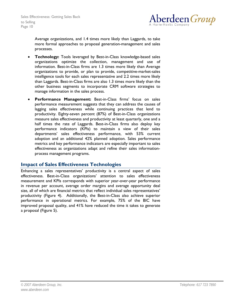

<span id="page-9-0"></span>Average organizations, and 1.4 times more likely than Laggards, to take more formal approaches to proposal generation-management and sales processes.

- **Technology:** Tools leveraged by Best-in-Class knowledge-based sales organizations optimize the collection, management and use of information. Best-in-Class firms are 1.3 times more likely than Average organizations to provide, or plan to provide, competitive-market-sales intelligence tools for each sales representative and 2.2 times more likely than Laggards. Best-in-Class firms are also 1.3 times more likely than the other business segments to incorporate CRM software strategies to manage information in the sales process.
- **Performance Management:** Best-in-Class firms' focus on sales performance measurement suggests that they can address the causes of lagging sales effectiveness while continuing practices that lend to productivity. Eighty-seven percent (87%) of Best-in-Class organizations measure sales effectiveness and productivity at least quarterly, one and a half times the rate of Laggards. Best-in-Class firms also deploy key performance indicators (KPIs) to maintain a view of their sales departments' sales effectiveness performance, with 53% current adoption and an additional 42% planned adoption. Sales performance metrics and key performance indicators are especially important to sales effectiveness as organizations adapt and refine their sales informationprocess management programs.

## **Impact of Sales Effectiveness Technologies**

Enhancing a sales representatives' productivity is a central aspect of sales effectiveness. Best-in-Class organizations' attention to sales effectiveness measurement and KPIs corresponds with superior year-over-year performance in revenue per account, average order margins and average opportunity deal size, all of which are financial metrics that reflect individual sales representatives' productivity (Figure 4). Additionally, the Best-in-Class also achieve superior performance in operational metrics. For example, 75% of the BIC have improved proposal quality, and 41% have reduced the time it takes to generate a proposal (Figure 5).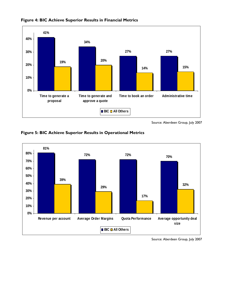

<span id="page-10-0"></span>**Figure 4: BIC Achieve Superior Results in Financial Metrics**

Source: Aberdeen Group, July 2007





Source: Aberdeen Group, July 2007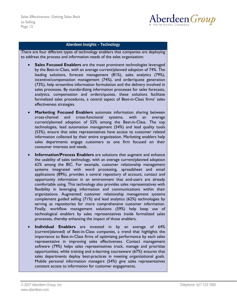

## **Aberdeen Insights – Technology**

There are four different types of technology enablers that companies are deploying to address the process and information needs of the sales organization:

- **Sales Focused Enablers** are the most prominent technologies leveraged by the Best-in-Class, with an average current/planned adoption of 74%. The leading solutions, forecast management (81%), sales analytics (79%), incentive/compensation management (74%), and order/quote generation (73%), help streamline information formulation and the delivery involved in sales processes. By standardizing information processes for sales forecasts, analytics, compensation and orders/quotes, these solutions facilitate formalized sales procedures, a central aspect of Best-in-Class firms' sales effectiveness strategies.
- **Marketing Focused Enablers** automate information sharing between cross-channel and cross-functional systems, with an average current/planned adoption of 52% among the Best-in-Class. The top technologies, lead automation management (54%) and lead quality tools (53%), ensure that sales representatives have access to customer related information collected by their entire organization. Marketing enablers help sales departments engage customers as one firm focused on their consumer interests and needs.
- **Information/Process Enablers** are solutions that augment and enhance the usability of sales technology, with an average current/planned adoption 62% among the BIC. For example, customer relationship management systems integrated with word processing, spreadsheet and email applications (89%), provides a central repository of account, contact and opportunity information in an environment that end-users are already comfortable using. This technology also provides sales representatives with flexibility in leveraging information and communications within their organizations. Augmented customer relationship management systems complement guided selling (71%) and lead analytics (62%) technologies by serving as repositories for more comprehensive customer information. Finally, workflow management solutions (59%) help keep use of technological enablers by sales representatives inside formalized sales processes, thereby enhancing the impact of those enablers.
- **Individual Enablers** are invested in by an average of 64% (current/planned) of Best-in-Class companies, a trend that highlights the importance to Best-in-Class firms of optimizing performance by each sales representative in improving sales effectiveness. Contact management software (79%) helps sales representatives track, manage and prioritize opportunities, while training and e-learning courseware (67%) ensures that sales departments deploy best-practices in meeting organizational goals. Mobile personal information managers (54%) give sales representatives constant access to information for customer engagements.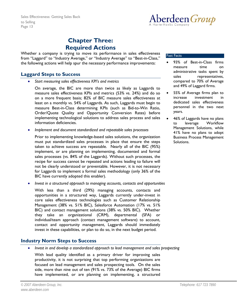

# **Chapter Three: Required Actions**

<span id="page-12-0"></span>Whether a company is trying to move its performance in sales effectiveness from "Laggard" to "Industry Average," or "Industry Average" to "Best-in-Class," the following actions will help spur the necessary performance improvements:

# **Laggard Steps to Success**

• *Start measuring sales effectiveness KPI's and metrics* 

On average, the BIC are more than twice as likely as Laggards to measure sales effectiveness KPIs and metrics (53% vs. 24%) and do so on a more frequent basis; 82% of BIC measure sales effectiveness at least on a monthly vs. 54% of Laggards. As such, Laggards must begin to measure Best-in-Class determining KPIs (such as Bid-to-Win Ratio, Order/Quote Quality and Opportunity Conversion Rates) before implementing technological solutions to address sales process and sales information deficiencies.

• *Implement and document standardized and repeatable sales processes* 

Prior to implementing knowledge-based sales solutions, the organization must put standardized sales processes in place that ensure the steps taken to achieve success are repeatable. Nearly all of the BIC (95%) implement, or are planning on implementing, documented and formal sales processes (vs. 84% of the Laggards). Without such processes, the recipe for success cannot be repeated and actions leading to failure will not be clearly understood or preventable. However, it is not necessary for Laggards to implement a formal sales methodology (only 36% of the BIC have currently adopted this enabler).

• *Invest in a structured approach to managing accounts, contacts and opportunities* 

With less than a third (29%) managing accounts, contacts and opportunities in a structured way, Laggards currently under-invest in core sales effectiveness technologies such as Customer Relationship Management (38% vs. 51% BIC), Salesforce Automation (17% vs. 51% BIC) and contact management solutions (38% vs. 50% BIC). Whether they take an organizational (CRM), departmental (SFA) or individual/team approach (contact management software) to account, contact and opportunity management, Laggards should immediately invest in these capabilities, or plan to do so, in the next budget period.

# **Industry Norm Steps to Success**

• *Invest in and develop a standardized approach to lead management and sales prospecting* 

With lead quality identified as a primary driver for improving sales productivity, it is not surprising that top performing organizations are focused on lead management and sales prospecting tools. On the sales side, more than nine out of ten (91% vs. 73% of the Average) BIC firms have implemented, or are planning on implementing, a structured

#### Fast Facts

- 93% of Best-in-Class firms measure time on administrative tasks spent by sales representatives, compared to 70% of Average and 49% of Laggard firms.
- 55% of Average firms plan to increase investment in dedicated sales effectiveness personnel in the two next years.
- 46% of Laggards have no plans to leverage Workflow Management Solutions, while 41% have no plans to adopt Business Process Management Solutions.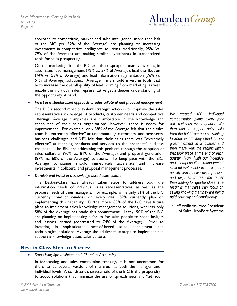

<span id="page-13-0"></span>approach to competitive, market and sales intelligence; more than half of the BIC (vs. 32% of the Average) are planning on increasing investments in competitive intelligence solutions. Additionally, 95% (vs. 79% of the Average) are making similar investments in standardized tools for sales prospecting.

On the marketing side, the BIC are also disproportionately investing in automated lead management (72% vs. 57% of Average), lead distribution (74% vs. 53% of Average) and lead information augmentation (76% vs. 51% of Average) solutions. Average firms should invest in tools that both increase the overall quality of leads coming from marketing, as well enable the individual sales representative get a deeper understanding of the opportunity at hand.

• *Invest in a standardized approach to sales collateral and proposal management* 

The BIC's second most prevalent strategic action is to improve the sales representative's knowledge of products, customer needs and competitive offerings. Average companies are comfortable in the knowledge and capabilities of their sales organizations; however, there is room for improvement. For example, only 38% of the Average felt that their sales team is "extremely effective" at understanding customers' and prospects' business challenges and 34% felt that their sales team was "extremely effective" at mapping products and services to the prospects' business challenge. The BIC are addressing this problem through the adoption of sales collateral (90% vs. 81% of the Average) and proposal generation (87% vs. 60% of the Average) solutions. To keep pace with the BIC, Average companies should immediately accelerate and increase investments in collateral and proposal management processes.

• *Develop and invest in a knowledge-based sales culture* 

The Best-in-Class have already taken steps to address both the information needs of individual sales representatives, as well as the process needs of their managers. For example, while only 31% of the BIC currently conduct win/loss on every deal, 52% currently plan on implementing this capability. Furthermore, 83% of the BIC have future plans to implement sales knowledge management solutions, whereas only 58% of the Average has made this commitment. Lastly, 90% of the BIC are planning on implementing a forum for sales people to share insights and lessons learned (contrasted to 74% of the Average). Prior to investing in sophisticated best-of-breed sales enablement and technological solutions, Average should first take steps to implement and support a knowledge-based sales culture.

# **Best-in-Class Steps to Success**

• *Stop Using Spreadsheets and "Shadow Accounting"* 

In forecasting and sales commission tracking, it is not uncommon for there to be several versions of the truth at both the manager and individual levels. A consistent characteristic of the BIC is the propensity to adopt solutions that minimize the use of spreadsheets and "ad hoc

*We created 100+ individual compensation plans every year with revisions every quarter. We then had to support daily calls from the field from people wanting to know where they stood at any given moment in a quarter and then there was the reconciliation that took place at the end of each quarter. Now, [with our incentive and compensation management system] we're able to move more quickly and resolve discrepancies and disputes in real-time rather than waiting for quarter close. The result is that sales can focus on selling knowing that they are being paid correctly and consistently.* 

~ Jeff Williams, Vice President of Sales, IronPort Systems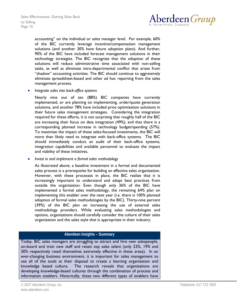

accounting" on the individual or sales manager level. For example, 60% of the BIC currently leverage incentive/compensation management solutions (and another 30% have future adoption plans). And further, 90% of the BIC have included forecast management solutions in their technology strategies. The BIC recognize that the adoption of these solutions will reduce administrative time associated with non-selling tasks, as well as eliminate intra-departmental conflict that arises from "shadow" accounting activities. The BIC should continue to aggressively eliminate spreadsheet-based and other ad hoc reporting from the sales management process.

• *Integrate sales into back-office systems* 

Nearly nine out of ten (88%) BIC companies have currently implemented, or are planning on implementing, order/quote generation solutions, and another 78% have included price optimization solutions in their future sales management strategies. Considering the integration required for these efforts, it is not surprising that roughly half of the BIC are increasing their focus on data integration (49%), and that there is a corresponding planned increase in technology budget/spending (57%). To maximize the impact of these sales-focused investments, the BIC will more than likely need to integrate with back-office systems. The BIC should immediately conduct an audit of their back-office systems, integration capabilities and available personnel to evaluate the impact and viability of these initiatives.

• *Invest in and implement a formal sales methodology* 

As illustrated above, a baseline investment in a formal and documented sales process is a prerequisite for building an effective sales organization. However, with these processes in place, the BIC realize that it is increasingly important to understand and adopt best practices from outside the organization. Even though only 36% of the BIC have implemented a formal sales methodology, the remaining 64% plan on implementing this enabler over the next year (i.e. there is 100% planned adoption of formal sales methodologies by the BIC). Thirty-nine percent (39%) of the BIC plan on increasing the use of external sales methodology providers. While evaluating sales methodologies and options, organizations should carefully consider the culture of their sales organization and the sales style that is appropriate in their industry.

#### **Aberdeen Insights – Summary**

Today, BIC sales managers are struggling to attract and hire new salespeople, on-board and train new staff and retain top sales talent (only 23%, 19% and 30% respectively rated themselves extremely effective in these areas). In an ever-changing business environment, it is important for sales management to use all of the tools at their disposal to create a learning organization and knowledge based culture. The research reveals that organizations are developing knowledge-based cultures through the combination of process and information enablers. Historically, these two different types of enablers have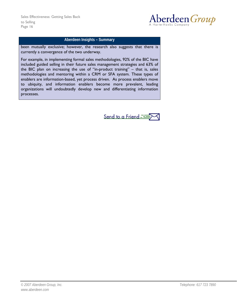

#### **Aberdeen Insights – Summary**

been mutually exclusive; however, the research also suggests that there is currently a convergence of the two underway.

For example, in implementing formal sales methodologies, 92% of the BIC have included guided selling in their future sales management strategies and 63% of the BIC plan on increasing the use of "in-product training" – that is, sales methodologies and mentoring within a CRM or SFA system. These types of enablers are information-based, yet process driven. As process enablers move to ubiquity, and information enablers become more prevalent, leading organizations will undoubtedly develop new and differentiating information processes.

Send to a Friend ===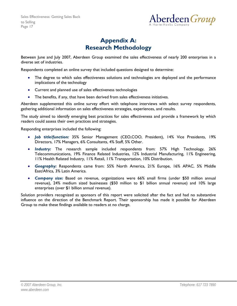

# **Appendix A: Research Methodology**

<span id="page-16-0"></span>Between June and July 2007, Aberdeen Group examined the sales effectiveness of nearly 200 enterprises in a diverse set of industries.

Respondents completed an online survey that included questions designed to determine:

- The degree to which sales effectiveness solutions and technologies are deployed and the performance implications of the technology
- Current and planned use of sales effectiveness technologies
- The benefits, if any, that have been derived from sales effectiveness initiatives.

Aberdeen supplemented this online survey effort with telephone interviews with select survey respondents, gathering additional information on sales effectiveness strategies, experiences, and results.

The study aimed to identify emerging best practices for sales effectiveness and provide a framework by which readers could assess their own practices and strategies.

Responding enterprises included the following:

- *Job title/function:* 35% Senior Management (CEO,COO, President), 14% Vice Presidents, 19% Directors, 17% Managers, 6% Consultants, 4% Staff, 5% Other.
- *Industry:* The research sample included respondents from: 57% High Technology, 26% Telecommunications, 19% Finance Related Industries, 12% Industrial Manufacturing, 11% Engineering, 11% Health Related Industry, 11% Retail, 11% Transportation, 10% Distribution.
- *Geography:* Respondents came from: 55% North America, 21% Europe, 16% APAC, 5% Middle East/Africa, 3% Latin America.
- *Company size:* Based on revenue, organizations were 66% small firms (under \$50 million annual revenue), 24% medium sized businesses (\$50 million to \$1 billion annual revenue) and 10% large enterprises (over \$1 billion annual revenue).

Solution providers recognized as sponsors of this report were solicited after the fact and had no substantive influence on the direction of the Benchmark Report. Their sponsorship has made it possible for Aberdeen Group to make these findings available to readers at no charge.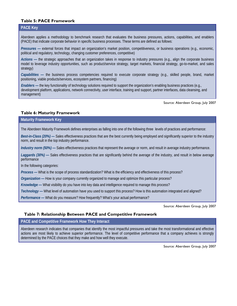#### <span id="page-17-0"></span>**Table 5: PACE Framework**

#### **PACE Key**

Aberdeen applies a methodology to benchmark research that evaluates the business pressures, actions, capabilities, and enablers (PACE) that indicate corporate behavior in specific business processes. These terms are defined as follows:

*Pressures* — external forces that impact an organization's market position, competitiveness, or business operations (e.g., economic, political and regulatory, technology, changing customer preferences, competitive)

*Actions —* the strategic approaches that an organization takes in response to industry pressures (e.g., align the corporate business model to leverage industry opportunities, such as product/service strategy, target markets, financial strategy, go-to-market, and sales strategy)

*Capabilities —* the business process competencies required to execute corporate strategy (e.g., skilled people, brand, market positioning, viable products/services, ecosystem partners, financing)

*Enablers* **—** the key functionality of technology solutions required to support the organization's enabling business practices (e.g., development platform, applications, network connectivity, user interface, training and support, partner interfaces, data cleansing, and management)

Source: Aberdeen Group, July 2007

#### **Table 6: Maturity Framework**

**Maturity Framework Key** 

The Aberdeen Maturity Framework defines enterprises as falling into one of the following three levels of practices and performance:

*Best-in-Class (20%)* **—** Sales effectiveness practices that are the best currently being employed and significantly superior to the industry norm, and result in the top industry performance.

*Industry norm (50%)* **—** Sales effectiveness practices that represent the average or norm, and result in average industry performance.

*Laggards (30%)* **—** Sales effectiveness practices that are significantly behind the average of the industry, and result in below average performance

In the following categories:

*Process —* What is the scope of process standardization? What is the efficiency and effectiveness of this process?

*Organization —* How is your company currently organized to manage and optimize this particular process?

*Knowledge —* What visibility do you have into key data and intelligence required to manage this process?

*Technology —* What level of automation have you used to support this process? How is this automation integrated and aligned?

*Performance —* What do you measure? How frequently? What's your actual performance?

Source: Aberdeen Group, July 2007

#### **Table 7: Relationship Between PACE and Competitive Framework**

**PACE and Competitive Framework How They Interact** 

Aberdeen research indicates that companies that identify the most impactful pressures and take the most transformational and effective actions are most likely to achieve superior performance. The level of competitive performance that a company achieves is strongly determined by the PACE choices that they make and how well they execute.

Source: Aberdeen Group, July 2007